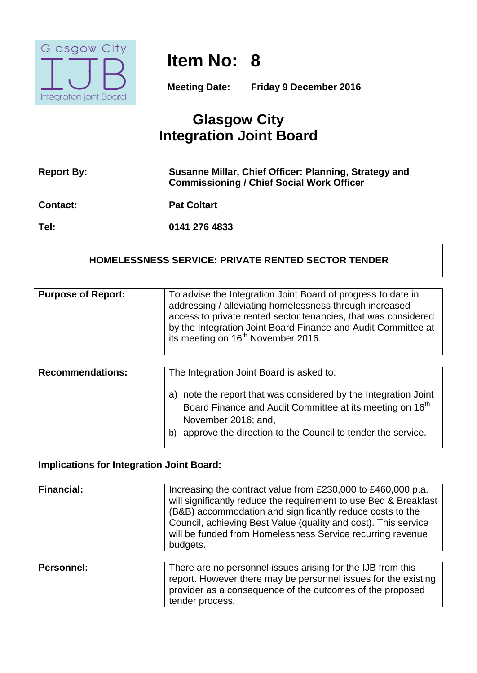

# **Item No: 8**

**Meeting Date: Friday 9 December 2016**

# **Glasgow City Integration Joint Board**

| <b>Report By:</b> | Susanne Millar, Chief Officer: Planning, Strategy and<br><b>Commissioning / Chief Social Work Officer</b> |
|-------------------|-----------------------------------------------------------------------------------------------------------|
| <b>Contact:</b>   | <b>Pat Coltart</b>                                                                                        |
| Tel:              | 0141 276 4833                                                                                             |

#### **HOMELESSNESS SERVICE: PRIVATE RENTED SECTOR TENDER**

| <b>Purpose of Report:</b> | To advise the Integration Joint Board of progress to date in<br>addressing / alleviating homelessness through increased<br>access to private rented sector tenancies, that was considered<br>by the Integration Joint Board Finance and Audit Committee at |
|---------------------------|------------------------------------------------------------------------------------------------------------------------------------------------------------------------------------------------------------------------------------------------------------|
|                           | its meeting on 16 <sup>th</sup> November 2016.                                                                                                                                                                                                             |

| <b>Recommendations:</b> | The Integration Joint Board is asked to:                                                                                                                                                                                               |
|-------------------------|----------------------------------------------------------------------------------------------------------------------------------------------------------------------------------------------------------------------------------------|
|                         | note the report that was considered by the Integration Joint<br>a)<br>Board Finance and Audit Committee at its meeting on 16 <sup>th</sup><br>November 2016; and,<br>approve the direction to the Council to tender the service.<br>b) |

### **Implications for Integration Joint Board:**

| <b>Financial:</b> | Increasing the contract value from £230,000 to £460,000 p.a.<br>will significantly reduce the requirement to use Bed & Breakfast<br>(B&B) accommodation and significantly reduce costs to the<br>Council, achieving Best Value (quality and cost). This service<br>will be funded from Homelessness Service recurring revenue<br>budgets. |
|-------------------|-------------------------------------------------------------------------------------------------------------------------------------------------------------------------------------------------------------------------------------------------------------------------------------------------------------------------------------------|
|                   |                                                                                                                                                                                                                                                                                                                                           |

| <b>Personnel:</b> | There are no personnel issues arising for the IJB from this    |
|-------------------|----------------------------------------------------------------|
|                   | report. However there may be personnel issues for the existing |
|                   | provider as a consequence of the outcomes of the proposed      |
|                   | tender process.                                                |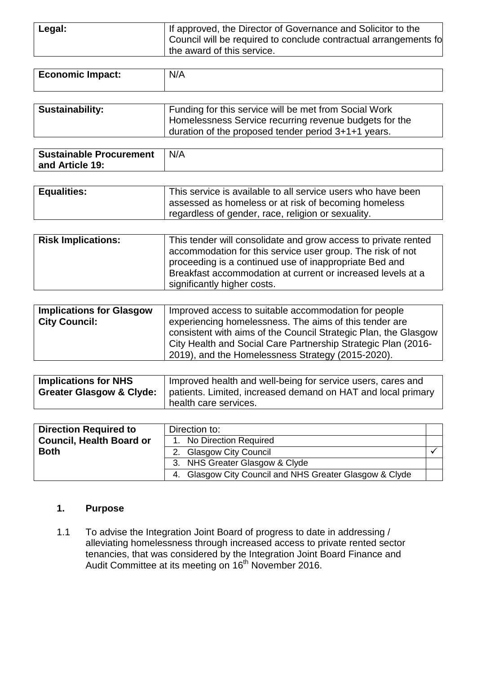| Legal: | If approved, the Director of Governance and Solicitor to the<br>Council will be required to conclude contractual arrangements fo |
|--------|----------------------------------------------------------------------------------------------------------------------------------|
|        | the award of this service.                                                                                                       |

| <b>Economic Impact:</b> | N/A                                                                                                             |
|-------------------------|-----------------------------------------------------------------------------------------------------------------|
|                         |                                                                                                                 |
| <b>Sustainability:</b>  | Funding for this service will be met from Social Work<br>Hamoleconose Cangias requiring revenue budgets for the |

| Thomelessness Service recurring revenue budgets for the |
|---------------------------------------------------------|
| duration of the proposed tender period 3+1+1 years.     |
|                                                         |
|                                                         |

| N/A<br>Sustainable Procurement |  |
|--------------------------------|--|
| and Article 19:                |  |

| <b>Equalities:</b> | This service is available to all service users who have been<br>I assessed as homeless or at risk of becoming homeless |
|--------------------|------------------------------------------------------------------------------------------------------------------------|
|                    | regardless of gender, race, religion or sexuality.                                                                     |

| <b>Risk Implications:</b> | This tender will consolidate and grow access to private rented<br>accommodation for this service user group. The risk of not<br>proceeding is a continued use of inappropriate Bed and<br>Breakfast accommodation at current or increased levels at a |
|---------------------------|-------------------------------------------------------------------------------------------------------------------------------------------------------------------------------------------------------------------------------------------------------|
|                           | significantly higher costs.                                                                                                                                                                                                                           |

| <b>Implications for Glasgow</b> | Improved access to suitable accommodation for people            |
|---------------------------------|-----------------------------------------------------------------|
| <b>City Council:</b>            | experiencing homelessness. The aims of this tender are          |
|                                 | consistent with aims of the Council Strategic Plan, the Glasgow |
|                                 | City Health and Social Care Partnership Strategic Plan (2016-   |
|                                 | 2019), and the Homelessness Strategy (2015-2020).               |

| <b>Implications for NHS</b> | Improved health and well-being for service users, cares and<br><b>Greater Glasgow &amp; Clyde:</b>   patients. Limited, increased demand on HAT and local primary |
|-----------------------------|-------------------------------------------------------------------------------------------------------------------------------------------------------------------|
|                             | health care services.                                                                                                                                             |

| <b>Direction Required to</b>    | Direction to:                                           |  |
|---------------------------------|---------------------------------------------------------|--|
| <b>Council, Health Board or</b> | 1. No Direction Required                                |  |
| <b>Both</b>                     | 2. Glasgow City Council                                 |  |
|                                 | 3. NHS Greater Glasgow & Clyde                          |  |
|                                 | 4. Glasgow City Council and NHS Greater Glasgow & Clyde |  |

#### **1. Purpose**

1.1 To advise the Integration Joint Board of progress to date in addressing / alleviating homelessness through increased access to private rented sector tenancies, that was considered by the Integration Joint Board Finance and Audit Committee at its meeting on 16<sup>th</sup> November 2016.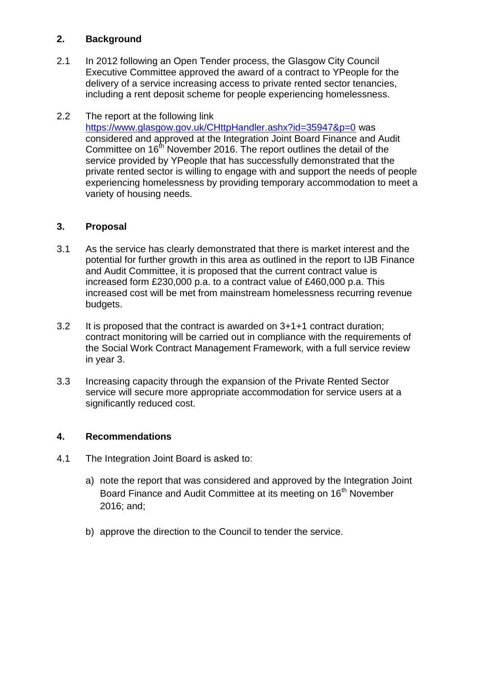#### **2. Background**

- 2.1 In 2012 following an Open Tender process, the Glasgow City Council Executive Committee approved the award of a contract to YPeople for the delivery of a service increasing access to private rented sector tenancies, including a rent deposit scheme for people experiencing homelessness.
- 2.2 The report at the following link <https://www.glasgow.gov.uk/CHttpHandler.ashx?id=35947&p=0> was considered and approved at the Integration Joint Board Finance and Audit Committee on 16<sup>th</sup> November 2016. The report outlines the detail of the service provided by YPeople that has successfully demonstrated that the private rented sector is willing to engage with and support the needs of people experiencing homelessness by providing temporary accommodation to meet a variety of housing needs.

#### **3. Proposal**

- 3.1 As the service has clearly demonstrated that there is market interest and the potential for further growth in this area as outlined in the report to IJB Finance and Audit Committee, it is proposed that the current contract value is increased form £230,000 p.a. to a contract value of £460,000 p.a. This increased cost will be met from mainstream homelessness recurring revenue budgets.
- 3.2 It is proposed that the contract is awarded on 3+1+1 contract duration; contract monitoring will be carried out in compliance with the requirements of the Social Work Contract Management Framework, with a full service review in year 3.
- 3.3 Increasing capacity through the expansion of the Private Rented Sector service will secure more appropriate accommodation for service users at a significantly reduced cost.

#### **4. Recommendations**

- 4.1 The Integration Joint Board is asked to:
	- a) note the report that was considered and approved by the Integration Joint Board Finance and Audit Committee at its meeting on 16<sup>th</sup> November 2016; and;
	- b) approve the direction to the Council to tender the service.